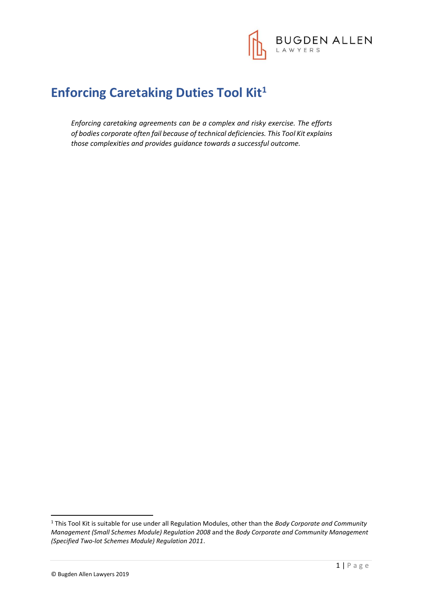

# **Enforcing Caretaking Duties Tool Kit<sup>1</sup>**

*Enforcing caretaking agreements can be a complex and risky exercise. The efforts of bodies corporate often fail because of technical deficiencies. This Tool Kit explains those complexities and provides guidance towards a successful outcome.* 

**.** 

<sup>1</sup> This Tool Kit is suitable for use under all Regulation Modules, other than the *Body Corporate and Community Management (Small Schemes Module) Regulation 2008* and the *Body Corporate and Community Management (Specified Two-lot Schemes Module) Regulation 2011*.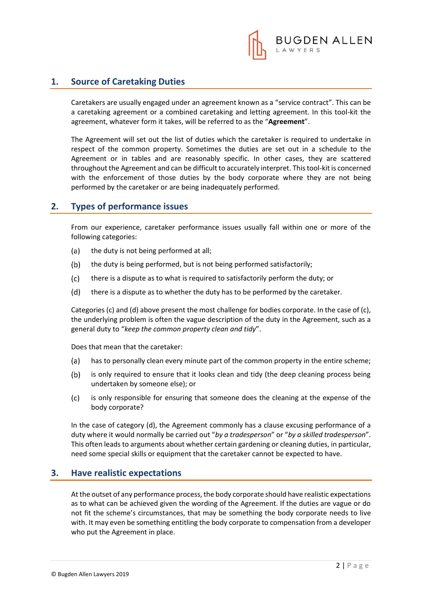

## **1. Source of Caretaking Duties**

Caretakers are usually engaged under an agreement known as a "service contract". This can be a caretaking agreement or a combined caretaking and letting agreement. In this tool-kit the agreement, whatever form it takes, will be referred to as the "**Agreement**".

The Agreement will set out the list of duties which the caretaker is required to undertake in respect of the common property. Sometimes the duties are set out in a schedule to the Agreement or in tables and are reasonably specific. In other cases, they are scattered throughout the Agreement and can be difficult to accurately interpret. This tool-kit is concerned with the enforcement of those duties by the body corporate where they are not being performed by the caretaker or are being inadequately performed.

## **2. Types of performance issues**

From our experience, caretaker performance issues usually fall within one or more of the following categories:

- the duty is not being performed at all;  $(a)$
- $(b)$ the duty is being performed, but is not being performed satisfactorily;
- $(c)$ there is a dispute as to what is required to satisfactorily perform the duty; or
- $(d)$ there is a dispute as to whether the duty has to be performed by the caretaker.

Categories (c) and (d) above present the most challenge for bodies corporate. In the case of (c), the underlying problem is often the vague description of the duty in the Agreement, such as a general duty to "*keep the common property clean and tidy*".

Does that mean that the caretaker:

- has to personally clean every minute part of the common property in the entire scheme;  $(a)$
- $(b)$ is only required to ensure that it looks clean and tidy (the deep cleaning process being undertaken by someone else); or
- $(c)$ is only responsible for ensuring that someone does the cleaning at the expense of the body corporate?

In the case of category (d), the Agreement commonly has a clause excusing performance of a duty where it would normally be carried out "*by a tradesperson*" or "*by a skilled tradesperson*". This often leads to arguments about whether certain gardening or cleaning duties, in particular, need some special skills or equipment that the caretaker cannot be expected to have.

#### **3. Have realistic expectations**

At the outset of any performance process, the body corporate should have realistic expectations as to what can be achieved given the wording of the Agreement. If the duties are vague or do not fit the scheme's circumstances, that may be something the body corporate needs to live with. It may even be something entitling the body corporate to compensation from a developer who put the Agreement in place.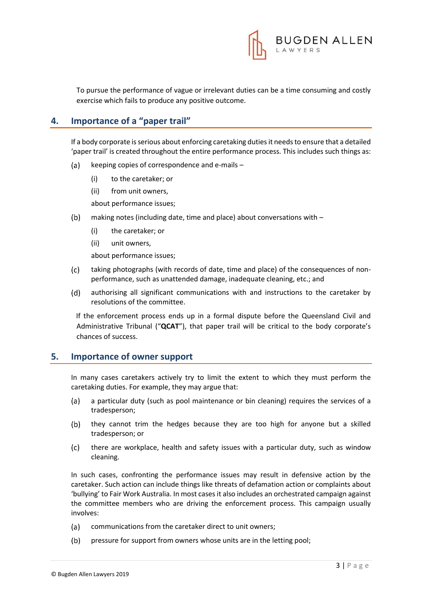

To pursue the performance of vague or irrelevant duties can be a time consuming and costly exercise which fails to produce any positive outcome.

## **4. Importance of a "paper trail"**

If a body corporate is serious about enforcing caretaking duties it needs to ensure that a detailed 'paper trail' is created throughout the entire performance process. This includes such things as:

- keeping copies of correspondence and e-mails  $(a)$ 
	- (i) to the caretaker; or
	- (ii) from unit owners,

about performance issues;

- $(b)$ making notes (including date, time and place) about conversations with –
	- (i) the caretaker; or
	- (ii) unit owners,

about performance issues;

- taking photographs (with records of date, time and place) of the consequences of non- $(c)$ performance, such as unattended damage, inadequate cleaning, etc.; and
- $(d)$ authorising all significant communications with and instructions to the caretaker by resolutions of the committee.

If the enforcement process ends up in a formal dispute before the Queensland Civil and Administrative Tribunal ("**QCAT**"), that paper trail will be critical to the body corporate's chances of success.

#### **5. Importance of owner support**

In many cases caretakers actively try to limit the extent to which they must perform the caretaking duties. For example, they may argue that:

- a particular duty (such as pool maintenance or bin cleaning) requires the services of a  $(a)$ tradesperson;
- $(b)$ they cannot trim the hedges because they are too high for anyone but a skilled tradesperson; or
- $(c)$ there are workplace, health and safety issues with a particular duty, such as window cleaning.

In such cases, confronting the performance issues may result in defensive action by the caretaker. Such action can include things like threats of defamation action or complaints about 'bullying' to Fair Work Australia. In most cases it also includes an orchestrated campaign against the committee members who are driving the enforcement process. This campaign usually involves:

- $(a)$ communications from the caretaker direct to unit owners;
- $(b)$ pressure for support from owners whose units are in the letting pool;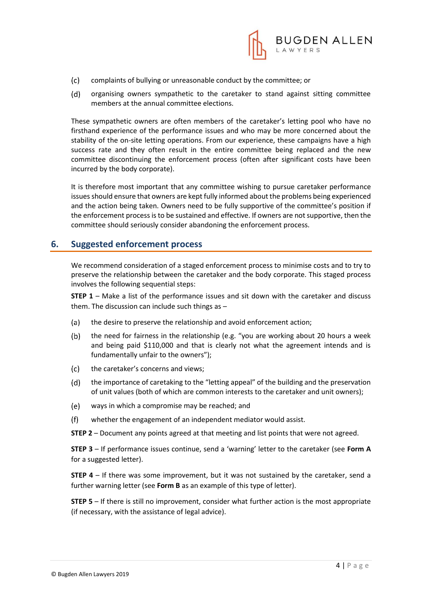

- $(c)$ complaints of bullying or unreasonable conduct by the committee; or
- $(d)$ organising owners sympathetic to the caretaker to stand against sitting committee members at the annual committee elections.

These sympathetic owners are often members of the caretaker's letting pool who have no firsthand experience of the performance issues and who may be more concerned about the stability of the on-site letting operations. From our experience, these campaigns have a high success rate and they often result in the entire committee being replaced and the new committee discontinuing the enforcement process (often after significant costs have been incurred by the body corporate).

It is therefore most important that any committee wishing to pursue caretaker performance issues should ensure that owners are kept fully informed about the problems being experienced and the action being taken. Owners need to be fully supportive of the committee's position if the enforcement process is to be sustained and effective. If owners are not supportive, then the committee should seriously consider abandoning the enforcement process.

#### **6. Suggested enforcement process**

We recommend consideration of a staged enforcement process to minimise costs and to try to preserve the relationship between the caretaker and the body corporate. This staged process involves the following sequential steps:

**STEP 1** – Make a list of the performance issues and sit down with the caretaker and discuss them. The discussion can include such things as –

- (a) the desire to preserve the relationship and avoid enforcement action;
- $(b)$ the need for fairness in the relationship (e.g. "you are working about 20 hours a week and being paid \$110,000 and that is clearly not what the agreement intends and is fundamentally unfair to the owners");
- $(c)$ the caretaker's concerns and views;
- $(d)$ the importance of caretaking to the "letting appeal" of the building and the preservation of unit values (both of which are common interests to the caretaker and unit owners);
- $(e)$ ways in which a compromise may be reached; and
- $(f)$ whether the engagement of an independent mediator would assist.

**STEP 2** – Document any points agreed at that meeting and list points that were not agreed.

**STEP 3** – If performance issues continue, send a 'warning' letter to the caretaker (see **Form A** for a suggested letter).

**STEP 4** – If there was some improvement, but it was not sustained by the caretaker, send a further warning letter (see **Form B** as an example of this type of letter).

**STEP 5** – If there is still no improvement, consider what further action is the most appropriate (if necessary, with the assistance of legal advice).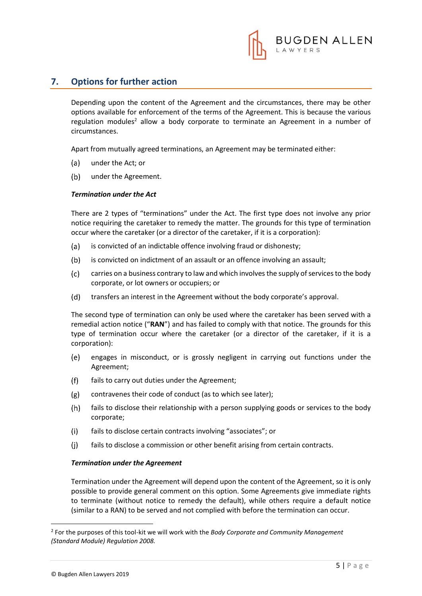

## **7. Options for further action**

Depending upon the content of the Agreement and the circumstances, there may be other options available for enforcement of the terms of the Agreement. This is because the various regulation modules<sup>2</sup> allow a body corporate to terminate an Agreement in a number of circumstances.

Apart from mutually agreed terminations, an Agreement may be terminated either:

- $(a)$ under the Act; or
- $(b)$ under the Agreement.

#### *Termination under the Act*

There are 2 types of "terminations" under the Act. The first type does not involve any prior notice requiring the caretaker to remedy the matter. The grounds for this type of termination occur where the caretaker (or a director of the caretaker, if it is a corporation):

- $(a)$ is convicted of an indictable offence involving fraud or dishonesty;
- is convicted on indictment of an assault or an offence involving an assault;  $(b)$
- $(c)$ carries on a business contrary to law and which involves the supply of services to the body corporate, or lot owners or occupiers; or
- $(d)$ transfers an interest in the Agreement without the body corporate's approval.

The second type of termination can only be used where the caretaker has been served with a remedial action notice ("**RAN**") and has failed to comply with that notice. The grounds for this type of termination occur where the caretaker (or a director of the caretaker, if it is a corporation):

- (e) engages in misconduct, or is grossly negligent in carrying out functions under the Agreement;
- fails to carry out duties under the Agreement;  $(f)$
- $(g)$ contravenes their code of conduct (as to which see later);
- $(h)$ fails to disclose their relationship with a person supplying goods or services to the body corporate;
- $(i)$ fails to disclose certain contracts involving "associates"; or
- fails to disclose a commission or other benefit arising from certain contracts.  $(i)$

#### *Termination under the Agreement*

Termination under the Agreement will depend upon the content of the Agreement, so it is only possible to provide general comment on this option. Some Agreements give immediate rights to terminate (without notice to remedy the default), while others require a default notice (similar to a RAN) to be served and not complied with before the termination can occur.

1

<sup>2</sup> For the purposes of this tool-kit we will work with the *Body Corporate and Community Management (Standard Module) Regulation 2008.*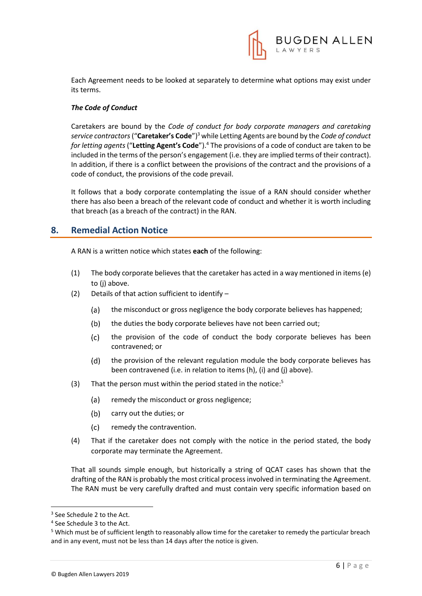

Each Agreement needs to be looked at separately to determine what options may exist under its terms.

#### *The Code of Conduct*

Caretakers are bound by the *Code of conduct for body corporate managers and caretaking service contractors*("**Caretaker's Code**")<sup>3</sup> while Letting Agents are bound by the *Code of conduct for letting agents* ("**Letting Agent's Code**").<sup>4</sup> The provisions of a code of conduct are taken to be included in the terms of the person's engagement (i.e. they are implied terms of their contract). In addition, if there is a conflict between the provisions of the contract and the provisions of a code of conduct, the provisions of the code prevail.

It follows that a body corporate contemplating the issue of a RAN should consider whether there has also been a breach of the relevant code of conduct and whether it is worth including that breach (as a breach of the contract) in the RAN.

## **8. Remedial Action Notice**

A RAN is a written notice which states **each** of the following:

- (1) The body corporate believes that the caretaker has acted in a way mentioned in items (e) to (j) above.
- (2) Details of that action sufficient to identify
	- the misconduct or gross negligence the body corporate believes has happened;  $(a)$
	- $(b)$ the duties the body corporate believes have not been carried out;
	- $(c)$ the provision of the code of conduct the body corporate believes has been contravened; or
	- the provision of the relevant regulation module the body corporate believes has (d) been contravened (i.e. in relation to items (h), (i) and (j) above).
- (3) That the person must within the period stated in the notice:<sup>5</sup>
	- $(a)$ remedy the misconduct or gross negligence;
	- (b) carry out the duties; or
	- remedy the contravention.  $(c)$
- (4) That if the caretaker does not comply with the notice in the period stated, the body corporate may terminate the Agreement.

That all sounds simple enough, but historically a string of QCAT cases has shown that the drafting of the RAN is probably the most critical process involved in terminating the Agreement. The RAN must be very carefully drafted and must contain very specific information based on

1

<sup>&</sup>lt;sup>3</sup> See Schedule 2 to the Act.

<sup>4</sup> See Schedule 3 to the Act.

<sup>5</sup> Which must be of sufficient length to reasonably allow time for the caretaker to remedy the particular breach and in any event, must not be less than 14 days after the notice is given.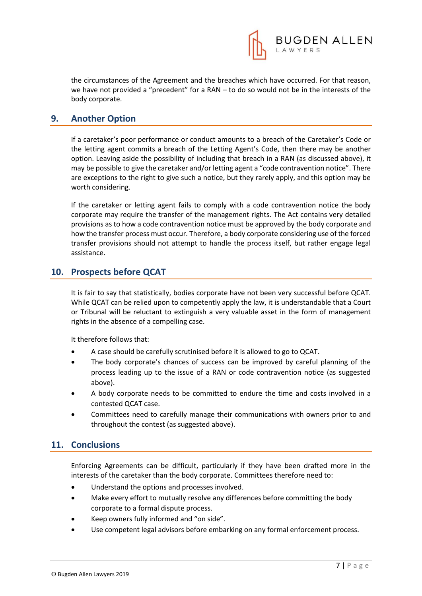

the circumstances of the Agreement and the breaches which have occurred. For that reason, we have not provided a "precedent" for a RAN – to do so would not be in the interests of the body corporate.

## **9. Another Option**

If a caretaker's poor performance or conduct amounts to a breach of the Caretaker's Code or the letting agent commits a breach of the Letting Agent's Code, then there may be another option. Leaving aside the possibility of including that breach in a RAN (as discussed above), it may be possible to give the caretaker and/or letting agent a "code contravention notice". There are exceptions to the right to give such a notice, but they rarely apply, and this option may be worth considering.

If the caretaker or letting agent fails to comply with a code contravention notice the body corporate may require the transfer of the management rights. The Act contains very detailed provisions as to how a code contravention notice must be approved by the body corporate and how the transfer process must occur. Therefore, a body corporate considering use of the forced transfer provisions should not attempt to handle the process itself, but rather engage legal assistance.

## **10. Prospects before QCAT**

It is fair to say that statistically, bodies corporate have not been very successful before QCAT. While QCAT can be relied upon to competently apply the law, it is understandable that a Court or Tribunal will be reluctant to extinguish a very valuable asset in the form of management rights in the absence of a compelling case.

It therefore follows that:

- A case should be carefully scrutinised before it is allowed to go to QCAT.
- The body corporate's chances of success can be improved by careful planning of the process leading up to the issue of a RAN or code contravention notice (as suggested above).
- A body corporate needs to be committed to endure the time and costs involved in a contested QCAT case.
- Committees need to carefully manage their communications with owners prior to and throughout the contest (as suggested above).

#### **11. Conclusions**

Enforcing Agreements can be difficult, particularly if they have been drafted more in the interests of the caretaker than the body corporate. Committees therefore need to:

- Understand the options and processes involved.
- Make every effort to mutually resolve any differences before committing the body corporate to a formal dispute process.
- Keep owners fully informed and "on side".
- Use competent legal advisors before embarking on any formal enforcement process.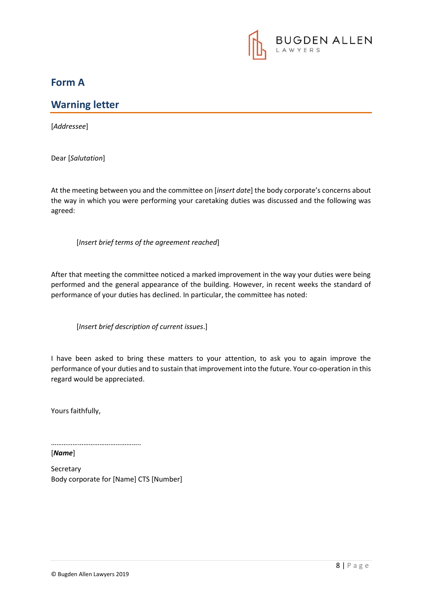

## **Form A**

## **Warning letter**

[*Addressee*]

Dear [*Salutation*]

At the meeting between you and the committee on [*insert date*] the body corporate's concerns about the way in which you were performing your caretaking duties was discussed and the following was agreed:

[*Insert brief terms of the agreement reached*]

After that meeting the committee noticed a marked improvement in the way your duties were being performed and the general appearance of the building. However, in recent weeks the standard of performance of your duties has declined. In particular, the committee has noted:

[*Insert brief description of current issues*.]

I have been asked to bring these matters to your attention, to ask you to again improve the performance of your duties and to sustain that improvement into the future. Your co-operation in this regard would be appreciated.

Yours faithfully,

……………………………………………

[*Name*]

Secretary Body corporate for [Name] CTS [Number]